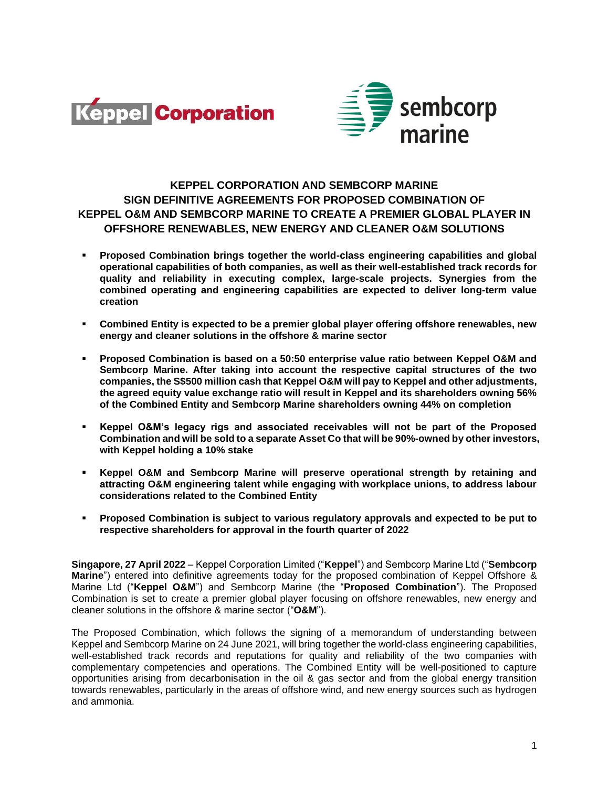



# **KEPPEL CORPORATION AND SEMBCORP MARINE SIGN DEFINITIVE AGREEMENTS FOR PROPOSED COMBINATION OF KEPPEL O&M AND SEMBCORP MARINE TO CREATE A PREMIER GLOBAL PLAYER IN OFFSHORE RENEWABLES, NEW ENERGY AND CLEANER O&M SOLUTIONS**

- **Proposed Combination brings together the world-class engineering capabilities and global operational capabilities of both companies, as well as their well-established track records for quality and reliability in executing complex, large-scale projects. Synergies from the combined operating and engineering capabilities are expected to deliver long-term value creation**
- **Combined Entity is expected to be a premier global player offering offshore renewables, new energy and cleaner solutions in the offshore & marine sector**
- **Proposed Combination is based on a 50:50 enterprise value ratio between Keppel O&M and Sembcorp Marine. After taking into account the respective capital structures of the two companies, the S\$500 million cash that Keppel O&M will pay to Keppel and other adjustments, the agreed equity value exchange ratio will result in Keppel and its shareholders owning 56% of the Combined Entity and Sembcorp Marine shareholders owning 44% on completion**
- **Keppel O&M's legacy rigs and associated receivables will not be part of the Proposed Combination and will be sold to a separate Asset Co that will be 90%-owned by other investors, with Keppel holding a 10% stake**
- **Keppel O&M and Sembcorp Marine will preserve operational strength by retaining and attracting O&M engineering talent while engaging with workplace unions, to address labour considerations related to the Combined Entity**
- **Proposed Combination is subject to various regulatory approvals and expected to be put to respective shareholders for approval in the fourth quarter of 2022**

**Singapore, 27 April 2022** – Keppel Corporation Limited ("**Keppel**") and Sembcorp Marine Ltd ("**Sembcorp Marine**") entered into definitive agreements today for the proposed combination of Keppel Offshore & Marine Ltd ("**Keppel O&M**") and Sembcorp Marine (the "**Proposed Combination**"). The Proposed Combination is set to create a premier global player focusing on offshore renewables, new energy and cleaner solutions in the offshore & marine sector ("**O&M**").

The Proposed Combination, which follows the signing of a memorandum of understanding between Keppel and Sembcorp Marine on 24 June 2021, will bring together the world-class engineering capabilities, well-established track records and reputations for quality and reliability of the two companies with complementary competencies and operations. The Combined Entity will be well-positioned to capture opportunities arising from decarbonisation in the oil & gas sector and from the global energy transition towards renewables, particularly in the areas of offshore wind, and new energy sources such as hydrogen and ammonia.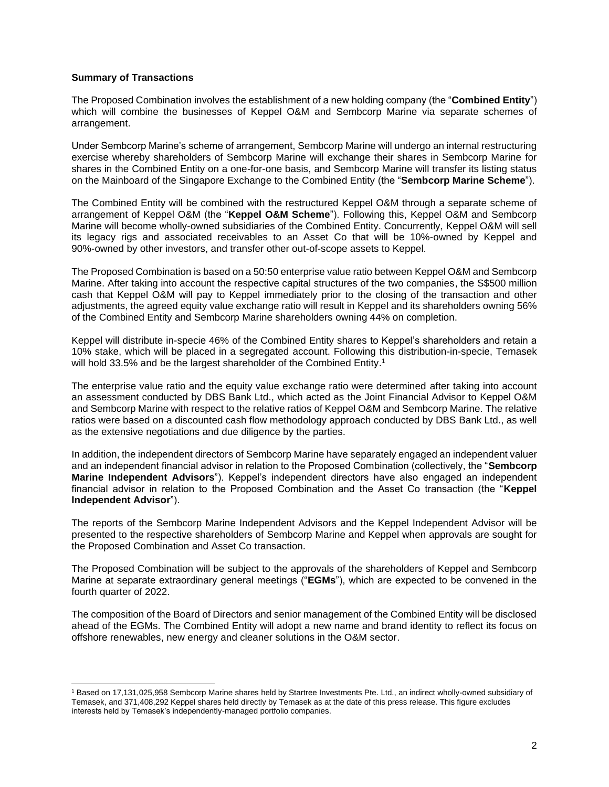#### **Summary of Transactions**

The Proposed Combination involves the establishment of a new holding company (the "**Combined Entity**") which will combine the businesses of Keppel O&M and Sembcorp Marine via separate schemes of arrangement.

Under Sembcorp Marine's scheme of arrangement, Sembcorp Marine will undergo an internal restructuring exercise whereby shareholders of Sembcorp Marine will exchange their shares in Sembcorp Marine for shares in the Combined Entity on a one-for-one basis, and Sembcorp Marine will transfer its listing status on the Mainboard of the Singapore Exchange to the Combined Entity (the "**Sembcorp Marine Scheme**").

The Combined Entity will be combined with the restructured Keppel O&M through a separate scheme of arrangement of Keppel O&M (the "**Keppel O&M Scheme**"). Following this, Keppel O&M and Sembcorp Marine will become wholly-owned subsidiaries of the Combined Entity. Concurrently, Keppel O&M will sell its legacy rigs and associated receivables to an Asset Co that will be 10%-owned by Keppel and 90%-owned by other investors, and transfer other out-of-scope assets to Keppel.

The Proposed Combination is based on a 50:50 enterprise value ratio between Keppel O&M and Sembcorp Marine. After taking into account the respective capital structures of the two companies, the S\$500 million cash that Keppel O&M will pay to Keppel immediately prior to the closing of the transaction and other adjustments, the agreed equity value exchange ratio will result in Keppel and its shareholders owning 56% of the Combined Entity and Sembcorp Marine shareholders owning 44% on completion.

Keppel will distribute in-specie 46% of the Combined Entity shares to Keppel's shareholders and retain a 10% stake, which will be placed in a segregated account. Following this distribution-in-specie, Temasek will hold 33.5% and be the largest shareholder of the Combined Entity.<sup>1</sup>

The enterprise value ratio and the equity value exchange ratio were determined after taking into account an assessment conducted by DBS Bank Ltd., which acted as the Joint Financial Advisor to Keppel O&M and Sembcorp Marine with respect to the relative ratios of Keppel O&M and Sembcorp Marine. The relative ratios were based on a discounted cash flow methodology approach conducted by DBS Bank Ltd., as well as the extensive negotiations and due diligence by the parties.

In addition, the independent directors of Sembcorp Marine have separately engaged an independent valuer and an independent financial advisor in relation to the Proposed Combination (collectively, the "**Sembcorp Marine Independent Advisors**"). Keppel's independent directors have also engaged an independent financial advisor in relation to the Proposed Combination and the Asset Co transaction (the "**Keppel Independent Advisor**").

The reports of the Sembcorp Marine Independent Advisors and the Keppel Independent Advisor will be presented to the respective shareholders of Sembcorp Marine and Keppel when approvals are sought for the Proposed Combination and Asset Co transaction.

The Proposed Combination will be subject to the approvals of the shareholders of Keppel and Sembcorp Marine at separate extraordinary general meetings ("**EGMs**"), which are expected to be convened in the fourth quarter of 2022.

The composition of the Board of Directors and senior management of the Combined Entity will be disclosed ahead of the EGMs. The Combined Entity will adopt a new name and brand identity to reflect its focus on offshore renewables, new energy and cleaner solutions in the O&M sector.

<sup>1</sup> Based on 17,131,025,958 Sembcorp Marine shares held by Startree Investments Pte. Ltd., an indirect wholly-owned subsidiary of Temasek, and 371,408,292 Keppel shares held directly by Temasek as at the date of this press release. This figure excludes interests held by Temasek's independently-managed portfolio companies.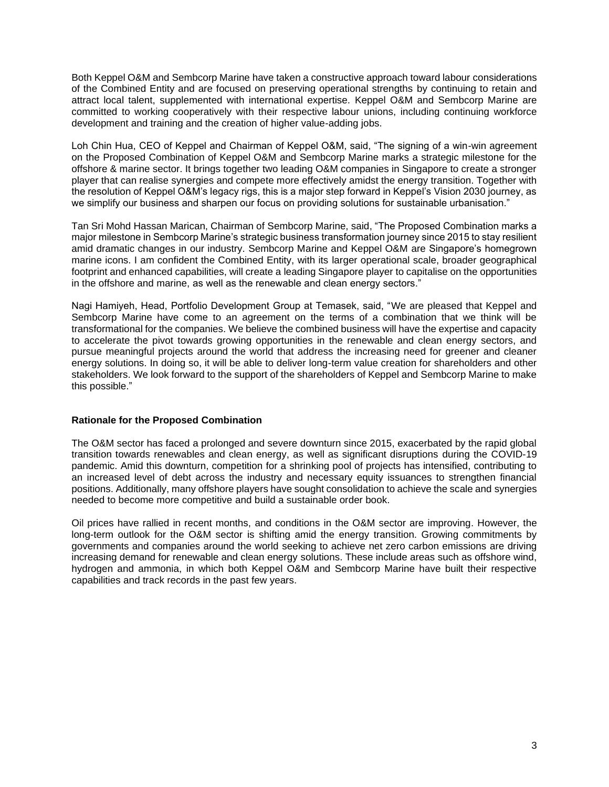Both Keppel O&M and Sembcorp Marine have taken a constructive approach toward labour considerations of the Combined Entity and are focused on preserving operational strengths by continuing to retain and attract local talent, supplemented with international expertise. Keppel O&M and Sembcorp Marine are committed to working cooperatively with their respective labour unions, including continuing workforce development and training and the creation of higher value-adding jobs.

Loh Chin Hua, CEO of Keppel and Chairman of Keppel O&M, said, "The signing of a win-win agreement on the Proposed Combination of Keppel O&M and Sembcorp Marine marks a strategic milestone for the offshore & marine sector. It brings together two leading O&M companies in Singapore to create a stronger player that can realise synergies and compete more effectively amidst the energy transition. Together with the resolution of Keppel O&M's legacy rigs, this is a major step forward in Keppel's Vision 2030 journey, as we simplify our business and sharpen our focus on providing solutions for sustainable urbanisation."

Tan Sri Mohd Hassan Marican, Chairman of Sembcorp Marine, said, "The Proposed Combination marks a major milestone in Sembcorp Marine's strategic business transformation journey since 2015 to stay resilient amid dramatic changes in our industry. Sembcorp Marine and Keppel O&M are Singapore's homegrown marine icons. I am confident the Combined Entity, with its larger operational scale, broader geographical footprint and enhanced capabilities, will create a leading Singapore player to capitalise on the opportunities in the offshore and marine, as well as the renewable and clean energy sectors."

Nagi Hamiyeh, Head, Portfolio Development Group at Temasek, said, "We are pleased that Keppel and Sembcorp Marine have come to an agreement on the terms of a combination that we think will be transformational for the companies. We believe the combined business will have the expertise and capacity to accelerate the pivot towards growing opportunities in the renewable and clean energy sectors, and pursue meaningful projects around the world that address the increasing need for greener and cleaner energy solutions. In doing so, it will be able to deliver long-term value creation for shareholders and other stakeholders. We look forward to the support of the shareholders of Keppel and Sembcorp Marine to make this possible."

# **Rationale for the Proposed Combination**

The O&M sector has faced a prolonged and severe downturn since 2015, exacerbated by the rapid global transition towards renewables and clean energy, as well as significant disruptions during the COVID-19 pandemic. Amid this downturn, competition for a shrinking pool of projects has intensified, contributing to an increased level of debt across the industry and necessary equity issuances to strengthen financial positions. Additionally, many offshore players have sought consolidation to achieve the scale and synergies needed to become more competitive and build a sustainable order book.

Oil prices have rallied in recent months, and conditions in the O&M sector are improving. However, the long-term outlook for the O&M sector is shifting amid the energy transition. Growing commitments by governments and companies around the world seeking to achieve net zero carbon emissions are driving increasing demand for renewable and clean energy solutions. These include areas such as offshore wind, hydrogen and ammonia, in which both Keppel O&M and Sembcorp Marine have built their respective capabilities and track records in the past few years.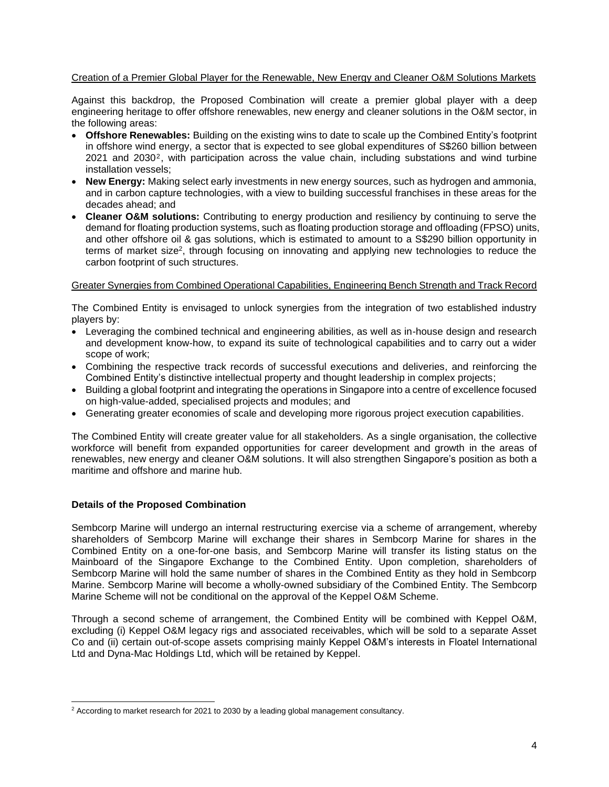# Creation of a Premier Global Player for the Renewable, New Energy and Cleaner O&M Solutions Markets

Against this backdrop, the Proposed Combination will create a premier global player with a deep engineering heritage to offer offshore renewables, new energy and cleaner solutions in the O&M sector, in the following areas:

- **Offshore Renewables:** Building on the existing wins to date to scale up the Combined Entity's footprint in offshore wind energy, a sector that is expected to see global expenditures of S\$260 billion between 2021 and 2030 2 , with participation across the value chain, including substations and wind turbine installation vessels;
- **New Energy:** Making select early investments in new energy sources, such as hydrogen and ammonia, and in carbon capture technologies, with a view to building successful franchises in these areas for the decades ahead; and
- **Cleaner O&M solutions:** Contributing to energy production and resiliency by continuing to serve the demand for floating production systems, such as floating production storage and offloading (FPSO) units, and other offshore oil & gas solutions, which is estimated to amount to a S\$290 billion opportunity in terms of market size<sup>2</sup>, through focusing on innovating and applying new technologies to reduce the carbon footprint of such structures.

# Greater Synergies from Combined Operational Capabilities, Engineering Bench Strength and Track Record

The Combined Entity is envisaged to unlock synergies from the integration of two established industry players by:

- Leveraging the combined technical and engineering abilities, as well as in-house design and research and development know-how, to expand its suite of technological capabilities and to carry out a wider scope of work;
- Combining the respective track records of successful executions and deliveries, and reinforcing the Combined Entity's distinctive intellectual property and thought leadership in complex projects;
- Building a global footprint and integrating the operations in Singapore into a centre of excellence focused on high-value-added, specialised projects and modules; and
- Generating greater economies of scale and developing more rigorous project execution capabilities.

The Combined Entity will create greater value for all stakeholders. As a single organisation, the collective workforce will benefit from expanded opportunities for career development and growth in the areas of renewables, new energy and cleaner O&M solutions. It will also strengthen Singapore's position as both a maritime and offshore and marine hub.

# **Details of the Proposed Combination**

Sembcorp Marine will undergo an internal restructuring exercise via a scheme of arrangement, whereby shareholders of Sembcorp Marine will exchange their shares in Sembcorp Marine for shares in the Combined Entity on a one-for-one basis, and Sembcorp Marine will transfer its listing status on the Mainboard of the Singapore Exchange to the Combined Entity. Upon completion, shareholders of Sembcorp Marine will hold the same number of shares in the Combined Entity as they hold in Sembcorp Marine. Sembcorp Marine will become a wholly-owned subsidiary of the Combined Entity. The Sembcorp Marine Scheme will not be conditional on the approval of the Keppel O&M Scheme.

Through a second scheme of arrangement, the Combined Entity will be combined with Keppel O&M, excluding (i) Keppel O&M legacy rigs and associated receivables, which will be sold to a separate Asset Co and (ii) certain out-of-scope assets comprising mainly Keppel O&M's interests in Floatel International Ltd and Dyna-Mac Holdings Ltd, which will be retained by Keppel.

 $2$  According to market research for 2021 to 2030 by a leading global management consultancy.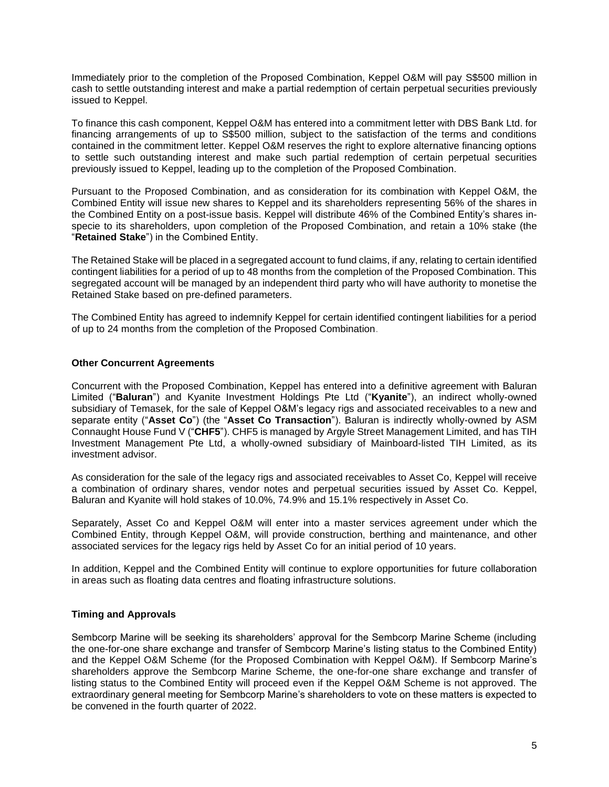Immediately prior to the completion of the Proposed Combination, Keppel O&M will pay S\$500 million in cash to settle outstanding interest and make a partial redemption of certain perpetual securities previously issued to Keppel.

To finance this cash component, Keppel O&M has entered into a commitment letter with DBS Bank Ltd. for financing arrangements of up to S\$500 million, subject to the satisfaction of the terms and conditions contained in the commitment letter. Keppel O&M reserves the right to explore alternative financing options to settle such outstanding interest and make such partial redemption of certain perpetual securities previously issued to Keppel, leading up to the completion of the Proposed Combination.

Pursuant to the Proposed Combination, and as consideration for its combination with Keppel O&M, the Combined Entity will issue new shares to Keppel and its shareholders representing 56% of the shares in the Combined Entity on a post-issue basis. Keppel will distribute 46% of the Combined Entity's shares inspecie to its shareholders, upon completion of the Proposed Combination, and retain a 10% stake (the "**Retained Stake**") in the Combined Entity.

The Retained Stake will be placed in a segregated account to fund claims, if any, relating to certain identified contingent liabilities for a period of up to 48 months from the completion of the Proposed Combination. This segregated account will be managed by an independent third party who will have authority to monetise the Retained Stake based on pre-defined parameters.

The Combined Entity has agreed to indemnify Keppel for certain identified contingent liabilities for a period of up to 24 months from the completion of the Proposed Combination.

# **Other Concurrent Agreements**

Concurrent with the Proposed Combination, Keppel has entered into a definitive agreement with Baluran Limited ("**Baluran**") and Kyanite Investment Holdings Pte Ltd ("**Kyanite**"), an indirect wholly-owned subsidiary of Temasek, for the sale of Keppel O&M's legacy rigs and associated receivables to a new and separate entity ("**Asset Co**") (the "**Asset Co Transaction**"). Baluran is indirectly wholly-owned by ASM Connaught House Fund V ("**CHF5**"). CHF5 is managed by Argyle Street Management Limited, and has TIH Investment Management Pte Ltd, a wholly-owned subsidiary of Mainboard-listed TIH Limited, as its investment advisor.

As consideration for the sale of the legacy rigs and associated receivables to Asset Co, Keppel will receive a combination of ordinary shares, vendor notes and perpetual securities issued by Asset Co. Keppel, Baluran and Kyanite will hold stakes of 10.0%, 74.9% and 15.1% respectively in Asset Co.

Separately, Asset Co and Keppel O&M will enter into a master services agreement under which the Combined Entity, through Keppel O&M, will provide construction, berthing and maintenance, and other associated services for the legacy rigs held by Asset Co for an initial period of 10 years.

In addition, Keppel and the Combined Entity will continue to explore opportunities for future collaboration in areas such as floating data centres and floating infrastructure solutions.

#### **Timing and Approvals**

Sembcorp Marine will be seeking its shareholders' approval for the Sembcorp Marine Scheme (including the one-for-one share exchange and transfer of Sembcorp Marine's listing status to the Combined Entity) and the Keppel O&M Scheme (for the Proposed Combination with Keppel O&M). If Sembcorp Marine's shareholders approve the Sembcorp Marine Scheme, the one-for-one share exchange and transfer of listing status to the Combined Entity will proceed even if the Keppel O&M Scheme is not approved. The extraordinary general meeting for Sembcorp Marine's shareholders to vote on these matters is expected to be convened in the fourth quarter of 2022.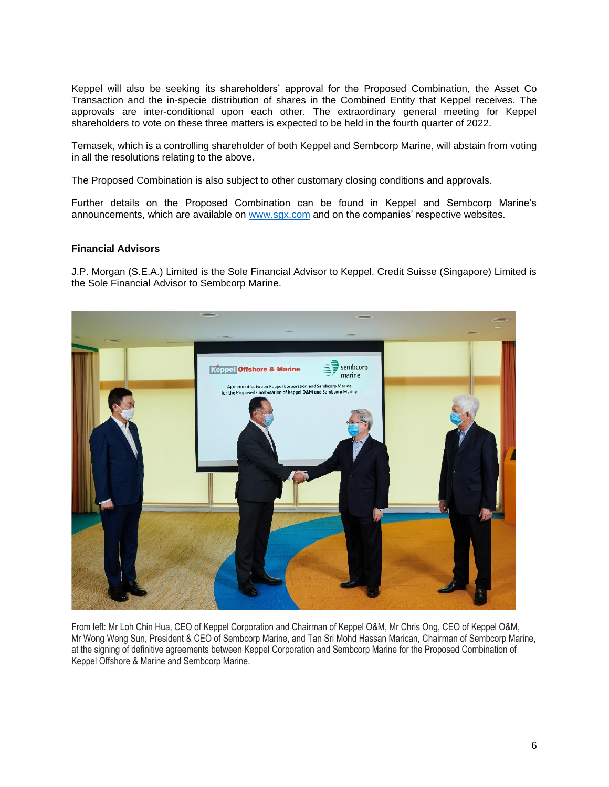Keppel will also be seeking its shareholders' approval for the Proposed Combination, the Asset Co Transaction and the in-specie distribution of shares in the Combined Entity that Keppel receives. The approvals are inter-conditional upon each other. The extraordinary general meeting for Keppel shareholders to vote on these three matters is expected to be held in the fourth quarter of 2022.

Temasek, which is a controlling shareholder of both Keppel and Sembcorp Marine, will abstain from voting in all the resolutions relating to the above.

The Proposed Combination is also subject to other customary closing conditions and approvals.

Further details on the Proposed Combination can be found in Keppel and Sembcorp Marine's announcements, which are available on [www.sgx.com](http://www.sgx.com/) and on the companies' respective websites.

#### **Financial Advisors**

J.P. Morgan (S.E.A.) Limited is the Sole Financial Advisor to Keppel. Credit Suisse (Singapore) Limited is the Sole Financial Advisor to Sembcorp Marine.



From left: Mr Loh Chin Hua, CEO of Keppel Corporation and Chairman of Keppel O&M, Mr Chris Ong, CEO of Keppel O&M, Mr Wong Weng Sun, President & CEO of Sembcorp Marine, and Tan Sri Mohd Hassan Marican, Chairman of Sembcorp Marine, at the signing of definitive agreements between Keppel Corporation and Sembcorp Marine for the Proposed Combination of Keppel Offshore & Marine and Sembcorp Marine.